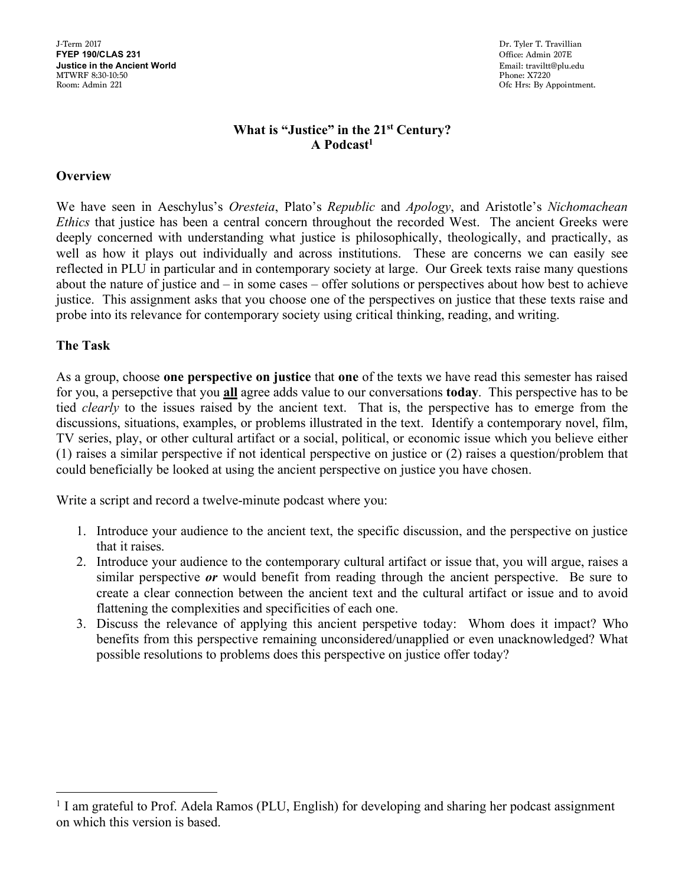J-Term 2017 Dr. Tyler T. Travillian Dr. Tyler T. Travillian Dr. Tyler T. Travillian Dr. Tyler T. Travillian Dr. Tyler T. Travillian **Justice in the Ancient World** <br>MTWRF 8:30-10:50 **Phone: X7220** MTWRF 8:30-10:50 Phone: X7220 Room: Admin 221 Ofc Hrs: By Appointment.

**FREE** 1907E<br>Email: traviltt@plu.edu

## **What is "Justice" in the 21st Century? A Podcast1**

### **Overview**

We have seen in Aeschylus's *Oresteia*, Plato's *Republic* and *Apology*, and Aristotle's *Nichomachean Ethics* that justice has been a central concern throughout the recorded West. The ancient Greeks were deeply concerned with understanding what justice is philosophically, theologically, and practically, as well as how it plays out individually and across institutions. These are concerns we can easily see reflected in PLU in particular and in contemporary society at large. Our Greek texts raise many questions about the nature of justice and – in some cases – offer solutions or perspectives about how best to achieve justice. This assignment asks that you choose one of the perspectives on justice that these texts raise and probe into its relevance for contemporary society using critical thinking, reading, and writing.

#### **The Task**

As a group, choose **one perspective on justice** that **one** of the texts we have read this semester has raised for you, a persepctive that you **all** agree adds value to our conversations **today**. This perspective has to be tied *clearly* to the issues raised by the ancient text. That is, the perspective has to emerge from the discussions, situations, examples, or problems illustrated in the text. Identify a contemporary novel, film, TV series, play, or other cultural artifact or a social, political, or economic issue which you believe either (1) raises a similar perspective if not identical perspective on justice or (2) raises a question/problem that could beneficially be looked at using the ancient perspective on justice you have chosen.

Write a script and record a twelve-minute podcast where you:

- 1. Introduce your audience to the ancient text, the specific discussion, and the perspective on justice that it raises.
- 2. Introduce your audience to the contemporary cultural artifact or issue that, you will argue, raises a similar perspective *or* would benefit from reading through the ancient perspective. Be sure to create a clear connection between the ancient text and the cultural artifact or issue and to avoid flattening the complexities and specificities of each one.
- 3. Discuss the relevance of applying this ancient perspetive today: Whom does it impact? Who benefits from this perspective remaining unconsidered/unapplied or even unacknowledged? What possible resolutions to problems does this perspective on justice offer today?

<sup>&</sup>lt;sup>1</sup> I am grateful to Prof. Adela Ramos (PLU, English) for developing and sharing her podcast assignment on which this version is based.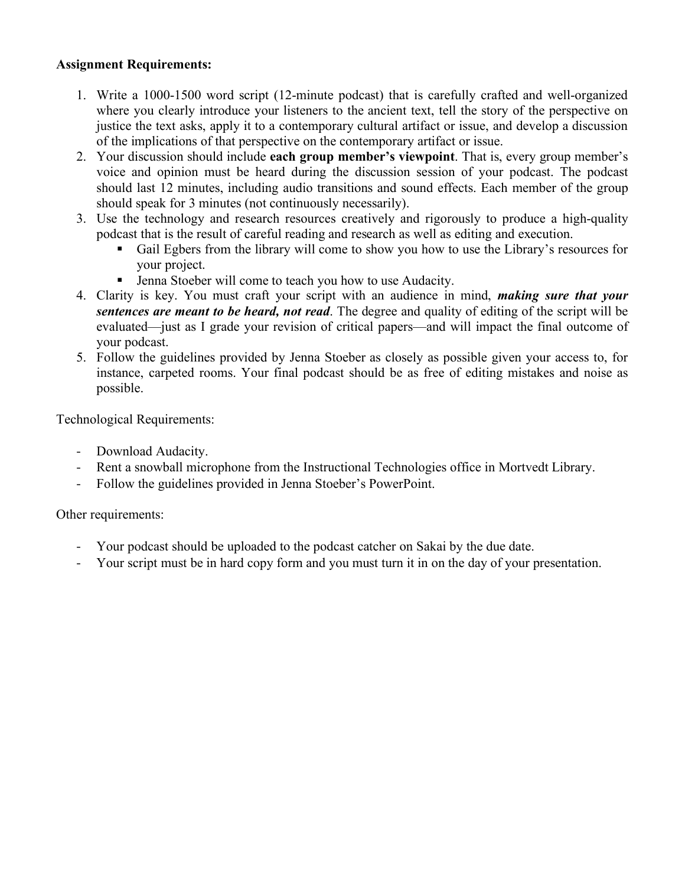## **Assignment Requirements:**

- 1. Write a 1000-1500 word script (12-minute podcast) that is carefully crafted and well-organized where you clearly introduce your listeners to the ancient text, tell the story of the perspective on justice the text asks, apply it to a contemporary cultural artifact or issue, and develop a discussion of the implications of that perspective on the contemporary artifact or issue.
- 2. Your discussion should include **each group member's viewpoint**. That is, every group member's voice and opinion must be heard during the discussion session of your podcast. The podcast should last 12 minutes, including audio transitions and sound effects. Each member of the group should speak for 3 minutes (not continuously necessarily).
- 3. Use the technology and research resources creatively and rigorously to produce a high-quality podcast that is the result of careful reading and research as well as editing and execution.
	- Gail Egbers from the library will come to show you how to use the Library's resources for your project.
	- Jenna Stoeber will come to teach you how to use Audacity.
- 4. Clarity is key. You must craft your script with an audience in mind, *making sure that your sentences are meant to be heard, not read*. The degree and quality of editing of the script will be evaluated—just as I grade your revision of critical papers—and will impact the final outcome of your podcast.
- 5. Follow the guidelines provided by Jenna Stoeber as closely as possible given your access to, for instance, carpeted rooms. Your final podcast should be as free of editing mistakes and noise as possible.

Technological Requirements:

- Download Audacity.
- Rent a snowball microphone from the Instructional Technologies office in Mortvedt Library.
- Follow the guidelines provided in Jenna Stoeber's PowerPoint.

Other requirements:

- Your podcast should be uploaded to the podcast catcher on Sakai by the due date.
- Your script must be in hard copy form and you must turn it in on the day of your presentation.